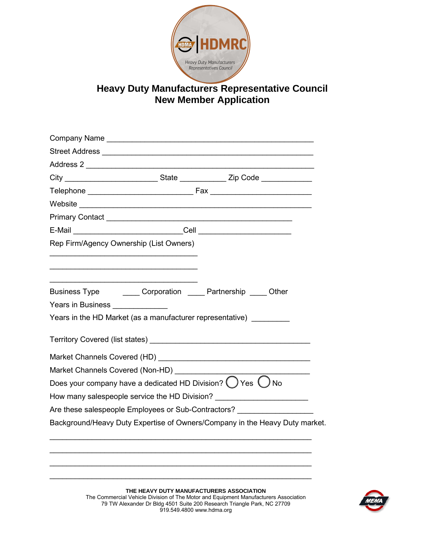

## **Heavy Duty Manufacturers Representative Council New Member Application**

| Rep Firm/Agency Ownership (List Owners)                           |                                          |                                                                                      |  |  |  |  |
|-------------------------------------------------------------------|------------------------------------------|--------------------------------------------------------------------------------------|--|--|--|--|
|                                                                   |                                          |                                                                                      |  |  |  |  |
|                                                                   |                                          | Business Type ________ Corporation _____ Partnership _____ Other                     |  |  |  |  |
| Years in Business <b>Network Years</b> in Business <b>Network</b> |                                          |                                                                                      |  |  |  |  |
|                                                                   |                                          | Years in the HD Market (as a manufacturer representative)                            |  |  |  |  |
|                                                                   |                                          |                                                                                      |  |  |  |  |
|                                                                   |                                          |                                                                                      |  |  |  |  |
| Market Channels Covered (Non-HD)                                  |                                          |                                                                                      |  |  |  |  |
|                                                                   |                                          | Does your company have a dedicated HD Division? $\bigcirc$ Yes $\bigcirc$ No         |  |  |  |  |
|                                                                   |                                          | How many salespeople service the HD Division? __________________________________     |  |  |  |  |
|                                                                   |                                          | Are these salespeople Employees or Sub-Contractors?                                  |  |  |  |  |
|                                                                   |                                          | Background/Heavy Duty Expertise of Owners/Company in the Heavy Duty market.          |  |  |  |  |
|                                                                   |                                          |                                                                                      |  |  |  |  |
|                                                                   |                                          |                                                                                      |  |  |  |  |
|                                                                   |                                          |                                                                                      |  |  |  |  |
|                                                                   | THE HEAVY DUTY MANUFACTURERS ASSOCIATION | The Commercial Vehicle Division of The Motor and Equipment Manufacturers Association |  |  |  |  |



The Commercial Vehicle Division of The Motor and Equipment Manufacturers Association 79 TW Alexander Dr Bldg 4501 Suite 200 Research Triangle Park, NC 27709 919.549.4800 www.hdma.org